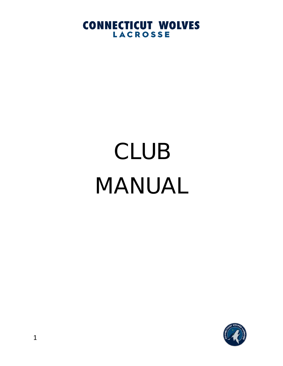# CLUB MANUAL

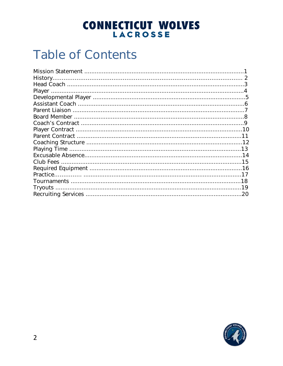# **CONNECTICUT WOLVES**

## **Table of Contents**

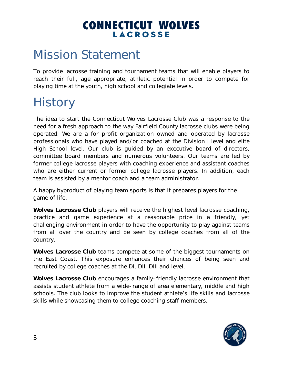### Mission Statement

To provide lacrosse training and tournament teams that will enable players to reach their full, age appropriate, athletic potential in order to compete for playing time at the youth, high school and collegiate levels.

# **History**

The idea to start the Connecticut Wolves Lacrosse Club was a response to the need for a fresh approach to the way Fairfield County lacrosse clubs were being operated. We are a for profit organization owned and operated by lacrosse professionals who have played and/or coached at the Division I level and elite High School level. Our club is guided by an executive board of directors, committee board members and numerous volunteers. Our teams are led by former college lacrosse players with coaching experience and assistant coaches who are either current or former college lacrosse players. In addition, each team is assisted by a mentor coach and a team administrator.

A happy byproduct of playing team sports is that it prepares players for the game of life.

**Wolves Lacrosse Club** players will receive the highest level lacrosse coaching, practice and game experience at a reasonable price in a friendly, yet challenging environment in order to have the opportunity to play against teams from all over the country and be seen by college coaches from all of the country.

**Wolves Lacrosse Club** teams compete at some of the biggest tournaments on the East Coast. This exposure enhances their chances of being seen and recruited by college coaches at the DI, DII, DIII and level.

**Wolves Lacrosse Club** encourages a family-friendly lacrosse environment that assists student athlete from a wide-range of area elementary, middle and high schools. The club looks to improve the student athlete's life skills and lacrosse skills while showcasing them to college coaching staff members.

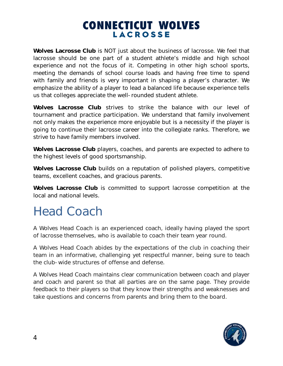**Wolves Lacrosse Club** is NOT just about the business of lacrosse. We feel that lacrosse should be one part of a student athlete's middle and high school experience and not the focus of it. Competing in other high school sports, meeting the demands of school course loads and having free time to spend with family and friends is very important in shaping a player's character. We emphasize the ability of a player to lead a balanced life because experience tells us that colleges appreciate the well-rounded student athlete.

**Wolves Lacrosse Club** strives to strike the balance with our level of tournament and practice participation. We understand that family involvement not only makes the experience more enjoyable but is a necessity if the player is going to continue their lacrosse career into the collegiate ranks. Therefore, we strive to have family members involved.

**Wolves Lacrosse Club** players, coaches, and parents are expected to adhere to the highest levels of good sportsmanship.

**Wolves Lacrosse Club** builds on a reputation of polished players, competitive teams, excellent coaches, and gracious parents.

**Wolves Lacrosse Club** is committed to support lacrosse competition at the local and national levels.

## Head Coach

A Wolves Head Coach is an experienced coach, ideally having played the sport of lacrosse themselves, who is available to coach their team year round.

A Wolves Head Coach abides by the expectations of the club in coaching their team in an informative, challenging yet respectful manner, being sure to teach the club-wide structures of offense and defense.

A Wolves Head Coach maintains clear communication between coach and player and coach and parent so that all parties are on the same page. They provide feedback to their players so that they know their strengths and weaknesses and take questions and concerns from parents and bring them to the board.

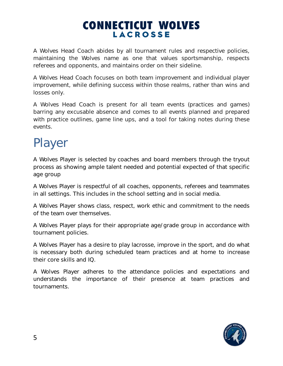A Wolves Head Coach abides by all tournament rules and respective policies, maintaining the Wolves name as one that values sportsmanship, respects referees and opponents, and maintains order on their sideline.

A Wolves Head Coach focuses on both team improvement and individual player improvement, while defining success within those realms, rather than wins and losses only.

A Wolves Head Coach is present for all team events (practices and games) barring any excusable absence and comes to all events planned and prepared with practice outlines, game line ups, and a tool for taking notes during these events.

# Player

A Wolves Player is selected by coaches and board members through the tryout process as showing ample talent needed and potential expected of that specific age group

A Wolves Player is respectful of all coaches, opponents, referees and teammates in all settings. This includes in the school setting and in social media.

A Wolves Player shows class, respect, work ethic and commitment to the needs of the team over themselves.

A Wolves Player plays for their appropriate age/grade group in accordance with tournament policies.

A Wolves Player has a desire to play lacrosse, improve in the sport, and do what is necessary both during scheduled team practices and at home to increase their core skills and IQ.

A Wolves Player adheres to the attendance policies and expectations and understands the importance of their presence at team practices and tournaments.

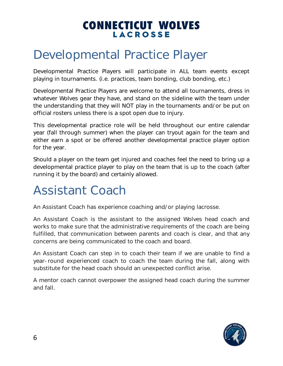### Developmental Practice Player

Developmental Practice Players will participate in ALL team events except playing in tournaments. (i.e. practices, team bonding, club bonding, etc.)

Developmental Practice Players are welcome to attend all tournaments, dress in whatever Wolves gear they have, and stand on the sideline with the team under the understanding that they will NOT play in the tournaments and/or be put on official rosters unless there is a spot open due to injury.

This developmental practice role will be held throughout our entire calendar year (fall through summer) when the player can tryout again for the team and either earn a spot or be offered another developmental practice player option for the year.

Should a player on the team get injured and coaches feel the need to bring up a developmental practice player to play on the team that is up to the coach (after running it by the board) and certainly allowed.

## Assistant Coach

An Assistant Coach has experience coaching and/or playing lacrosse.

An Assistant Coach is the assistant to the assigned Wolves head coach and works to make sure that the administrative requirements of the coach are being fulfilled, that communication between parents and coach is clear, and that any concerns are being communicated to the coach and board.

An Assistant Coach can step in to coach their team if we are unable to find a year-round experienced coach to coach the team during the fall, along with substitute for the head coach should an unexpected conflict arise.

A mentor coach cannot overpower the assigned head coach during the summer and fall.

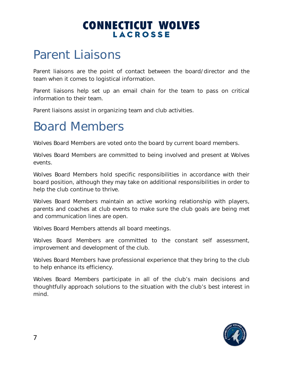### Parent Liaisons

Parent liaisons are the point of contact between the board/director and the team when it comes to logistical information.

Parent liaisons help set up an email chain for the team to pass on critical information to their team.

Parent liaisons assist in organizing team and club activities.

### Board Members

Wolves Board Members are voted onto the board by current board members.

Wolves Board Members are committed to being involved and present at Wolves events.

Wolves Board Members hold specific responsibilities in accordance with their board position, although they may take on additional responsibilities in order to help the club continue to thrive.

Wolves Board Members maintain an active working relationship with players, parents and coaches at club events to make sure the club goals are being met and communication lines are open.

Wolves Board Members attends all board meetings.

Wolves Board Members are committed to the constant self assessment, improvement and development of the club.

Wolves Board Members have professional experience that they bring to the club to help enhance its efficiency.

Wolves Board Members participate in all of the club's main decisions and thoughtfully approach solutions to the situation with the club's best interest in mind.

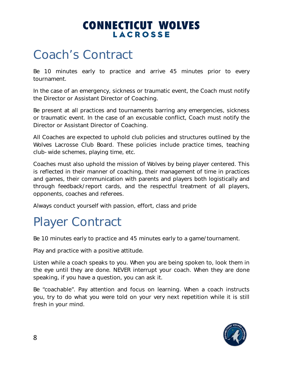### Coach's Contract

Be 10 minutes early to practice and arrive 45 minutes prior to every tournament.

In the case of an emergency, sickness or traumatic event, the Coach must notify the Director or Assistant Director of Coaching.

Be present at all practices and tournaments barring any emergencies, sickness or traumatic event. In the case of an excusable conflict, Coach must notify the Director or Assistant Director of Coaching.

All Coaches are expected to uphold club policies and structures outlined by the Wolves Lacrosse Club Board. These policies include practice times, teaching club-wide schemes, playing time, etc.

Coaches must also uphold the mission of Wolves by being player centered. This is reflected in their manner of coaching, their management of time in practices and games, their communication with parents and players both logistically and through feedback/report cards, and the respectful treatment of all players, opponents, coaches and referees.

Always conduct yourself with passion, effort, class and pride

## Player Contract

Be 10 minutes early to practice and 45 minutes early to a game/tournament.

Play and practice with a positive attitude.

Listen while a coach speaks to you. When you are being spoken to, look them in the eye until they are done. NEVER interrupt your coach. When they are done speaking, if you have a question, you can ask it.

Be "coachable". Pay attention and focus on learning. When a coach instructs you, try to do what you were told on your very next repetition while it is still fresh in your mind.

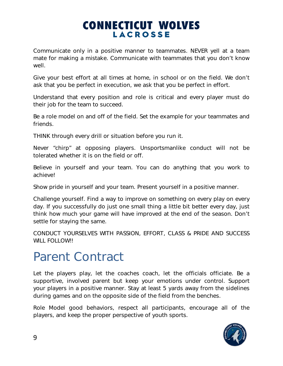Communicate only in a positive manner to teammates. NEVER yell at a team mate for making a mistake. Communicate with teammates that you don't know well.

Give your best effort at all times at home, in school or on the field. We don't ask that you be perfect in execution, we ask that you be perfect in effort.

Understand that every position and role is critical and every player must do their job for the team to succeed.

Be a role model on and off of the field. Set the example for your teammates and friends.

THINK through every drill or situation before you run it.

Never "chirp" at opposing players. Unsportsmanlike conduct will not be tolerated whether it is on the field or off.

Believe in yourself and your team. You can do anything that you work to achieve!

Show pride in yourself and your team. Present yourself in a positive manner.

Challenge yourself. Find a way to improve on something on every play on every day. If you successfully do just one small thing a little bit better every day, just think how much your game will have improved at the end of the season. Don't settle for staying the same.

CONDUCT YOURSELVES WITH PASSION, EFFORT, CLASS & PRIDE AND SUCCESS WILL FOLLOWIL

### Parent Contract

Let the players play, let the coaches coach, let the officials officiate. Be a supportive, involved parent but keep your emotions under control. Support your players in a positive manner. Stay at least 5 yards away from the sidelines during games and on the opposite side of the field from the benches.

Role Model good behaviors, respect all participants, encourage all of the players, and keep the proper perspective of youth sports.

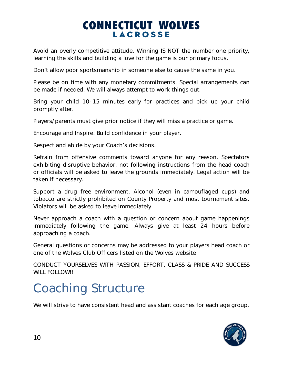Avoid an overly competitive attitude. Winning IS NOT the number one priority, learning the skills and building a love for the game is our primary focus.

Don't allow poor sportsmanship in someone else to cause the same in you.

Please be on time with any monetary commitments. Special arrangements can be made if needed. We will always attempt to work things out.

Bring your child 10-15 minutes early for practices and pick up your child promptly after.

Players/parents must give prior notice if they will miss a practice or game.

Encourage and Inspire. Build confidence in your player.

Respect and abide by your Coach's decisions.

Refrain from offensive comments toward anyone for any reason. Spectators exhibiting disruptive behavior, not following instructions from the head coach or officials will be asked to leave the grounds immediately. Legal action will be taken if necessary.

Support a drug free environment. Alcohol (even in camouflaged cups) and tobacco are strictly prohibited on County Property and most tournament sites. Violators will be asked to leave immediately.

Never approach a coach with a question or concern about game happenings immediately following the game. Always give at least 24 hours before approaching a coach.

General questions or concerns may be addressed to your players head coach or one of the Wolves Club Officers listed on the Wolves website

CONDUCT YOURSELVES WITH PASSION, EFFORT, CLASS & PRIDE AND SUCCESS WILL FOLLOW!!

## Coaching Structure

We will strive to have consistent head and assistant coaches for each age group.

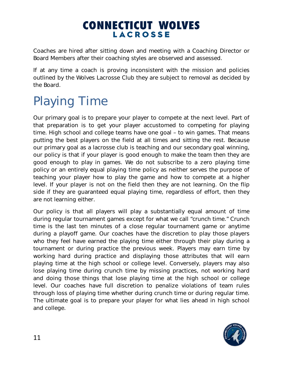Coaches are hired after sitting down and meeting with a Coaching Director or Board Members after their coaching styles are observed and assessed.

If at any time a coach is proving inconsistent with the mission and policies outlined by the Wolves Lacrosse Club they are subject to removal as decided by the Board.

# Playing Time

Our primary goal is to prepare your player to compete at the next level. Part of that preparation is to get your player accustomed to competing for playing time. High school and college teams have one goal – to win games. That means putting the best players on the field at all times and sitting the rest. Because our primary goal as a lacrosse club is teaching and our secondary goal winning, our policy is that if your player is good enough to make the team then they are good enough to play in games. We do not subscribe to a zero playing time policy or an entirely equal playing time policy as neither serves the purpose of teaching your player how to play the game and how to compete at a higher level. If your player is not on the field then they are not learning. On the flip side if they are guaranteed equal playing time, regardless of effort, then they are not learning either.

Our policy is that all players will play a substantially equal amount of time during regular tournament games except for what we call "crunch time." Crunch time is the last ten minutes of a close regular tournament game or anytime during a playoff game. Our coaches have the discretion to play those players who they feel have earned the playing time either through their play during a tournament or during practice the previous week. Players may earn time by working hard during practice and displaying those attributes that will earn playing time at the high school or college level. Conversely, players may also lose playing time during crunch time by missing practices, not working hard and doing those things that lose playing time at the high school or college level. Our coaches have full discretion to penalize violations of team rules through loss of playing time whether during crunch time or during regular time. The ultimate goal is to prepare your player for what lies ahead in high school and college.

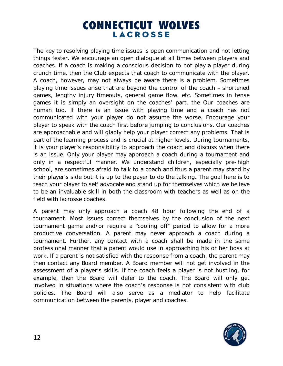The key to resolving playing time issues is open communication and not letting things fester. We encourage an open dialogue at all times between players and coaches. If a coach is making a conscious decision to not play a player during crunch time, then the Club expects that coach to communicate with the player. A coach, however, may not always be aware there is a problem. Sometimes playing time issues arise that are beyond the control of the coach – shortened games, lengthy injury timeouts, general game flow, etc. Sometimes in tense games it is simply an oversight on the coaches' part. the Our coaches are human too. If there is an issue with playing time and a coach has not communicated with your player do not assume the worse. Encourage your player to speak with the coach first before jumping to conclusions. Our coaches are approachable and will gladly help your player correct any problems. That is part of the learning process and is crucial at higher levels. During tournaments, it is your player's responsibility to approach the coach and discuss when there is an issue. Only your player may approach a coach during a tournament and only in a respectful manner. We understand children, especially pre-high school, are sometimes afraid to talk to a coach and thus a parent may stand by their player's side but it is up to the payer to do the talking. The goal here is to teach your player to self advocate and stand up for themselves which we believe to be an invaluable skill in both the classroom with teachers as well as on the field with lacrosse coaches.

A parent may only approach a coach 48 hour following the end of a tournament. Most issues correct themselves by the conclusion of the next tournament game and/or require a "cooling off" period to allow for a more productive conversation. A parent may never approach a coach during a tournament. Further, any contact with a coach shall be made in the same professional manner that a parent would use in approaching his or her boss at work. If a parent is not satisfied with the response from a coach, the parent may then contact any Board member. A Board member will not get involved in the assessment of a player's skills. If the coach feels a player is not hustling, for example, then the Board will defer to the coach. The Board will only get involved in situations where the coach's response is not consistent with club policies. The Board will also serve as a mediator to help facilitate communication between the parents, player and coaches.

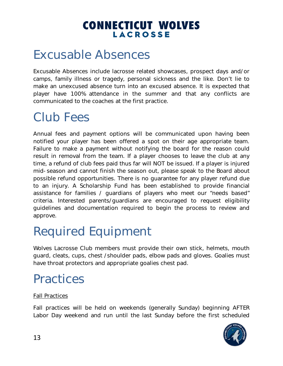### Excusable Absences

Excusable Absences include lacrosse related showcases, prospect days and/or camps, family illness or tragedy, personal sickness and the like. Don't lie to make an unexcused absence turn into an excused absence. It is expected that player have 100% attendance in the summer and that any conflicts are communicated to the coaches at the first practice.

# Club Fees

Annual fees and payment options will be communicated upon having been notified your player has been offered a spot on their age appropriate team. Failure to make a payment without notifying the board for the reason could result in removal from the team. If a player chooses to leave the club at any time, a refund of club fees paid thus far will NOT be issued. If a player is injured mid-season and cannot finish the season out, please speak to the Board about possible refund opportunities. There is no guarantee for any player refund due to an injury. A Scholarship Fund has been established to provide financial assistance for families / guardians of players who meet our "needs based" criteria. Interested parents/guardians are encouraged to request eligibility guidelines and documentation required to begin the process to review and approve.

# Required Equipment

Wolves Lacrosse Club members must provide their own stick, helmets, mouth guard, cleats, cups, chest /shoulder pads, elbow pads and gloves. Goalies must have throat protectors and appropriate goalies chest pad.

# **Practices**

#### Fall Practices

Fall practices will be held on weekends (generally Sunday) beginning AFTER Labor Day weekend and run until the last Sunday before the first scheduled

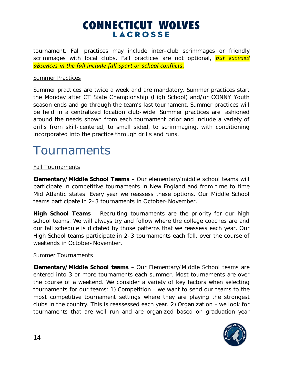tournament. Fall practices may include inter-club scrimmages or friendly scrimmages with local clubs. Fall practices are not optional, *but excused absences in the fall include fall sport or school conflicts.* 

#### Summer Practices

Summer practices are twice a week and are mandatory. Summer practices start the Monday after CT State Championship (High School) and/or CONNY Youth season ends and go through the team's last tournament. Summer practices will be held in a centralized location club-wide. Summer practices are fashioned around the needs shown from each tournament prior and include a variety of drills from skill-centered, to small sided, to scrimmaging, with conditioning incorporated into the practice through drills and runs.

### **Tournaments**

#### **Fall Tournaments**

**Elementary/Middle School Teams** – Our elementary/middle school teams will participate in competitive tournaments in New England and from time to time Mid Atlantic states. Every year we reassess these options. Our Middle School teams participate in 2-3 tournaments in October-November.

**High School Teams** – Recruiting tournaments are the priority for our high school teams. We will always try and follow where the college coaches are and our fall schedule is dictated by those patterns that we reassess each year. Our High School teams participate in 2-3 tournaments each fall, over the course of weekends in October-November.

#### **Summer Tournaments**

**Elementary/Middle School teams** – Our Elementary/Middle School teams are entered into 3 or more tournaments each summer. Most tournaments are over the course of a weekend. We consider a variety of key factors when selecting tournaments for our teams: 1) Competition – we want to send our teams to the most competitive tournament settings where they are playing the strongest clubs in the country. This is reassessed each year. 2) Organization – we look for tournaments that are well-run and are organized based on graduation year

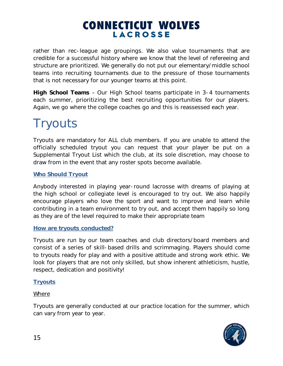rather than rec-league age groupings. We also value tournaments that are credible for a successful history where we know that the level of refereeing and structure are prioritized. We generally do not put our elementary/middle school teams into recruiting tournaments due to the pressure of those tournaments that is not necessary for our younger teams at this point.

**High School Teams** – Our High School teams participate in 3-4 tournaments each summer, prioritizing the best recruiting opportunities for our players. Again, we go where the college coaches go and this is reassessed each year.

# **Tryouts**

Tryouts are mandatory for ALL club members. If you are unable to attend the officially scheduled tryout you can request that your player be put on a Supplemental Tryout List which the club, at its sole discretion, may choose to draw from in the event that any roster spots become available.

#### **Who Should Tryout**

Anybody interested in playing year-round lacrosse with dreams of playing at the high school or collegiate level is encouraged to try out. We also happily encourage players who love the sport and want to improve and learn while contributing in a team environment to try out, and accept them happily so long as they are of the level required to make their appropriate team

#### **How are tryouts conducted?**

Tryouts are run by our team coaches and club directors/board members and consist of a series of skill-based drills and scrimmaging. Players should come to tryouts ready for play and with a positive attitude and strong work ethic. We look for players that are not only skilled, but show inherent athleticism, hustle, respect, dedication and positivity!

#### **Tryouts**

#### Where

Tryouts are generally conducted at our practice location for the summer, which can vary from year to year.